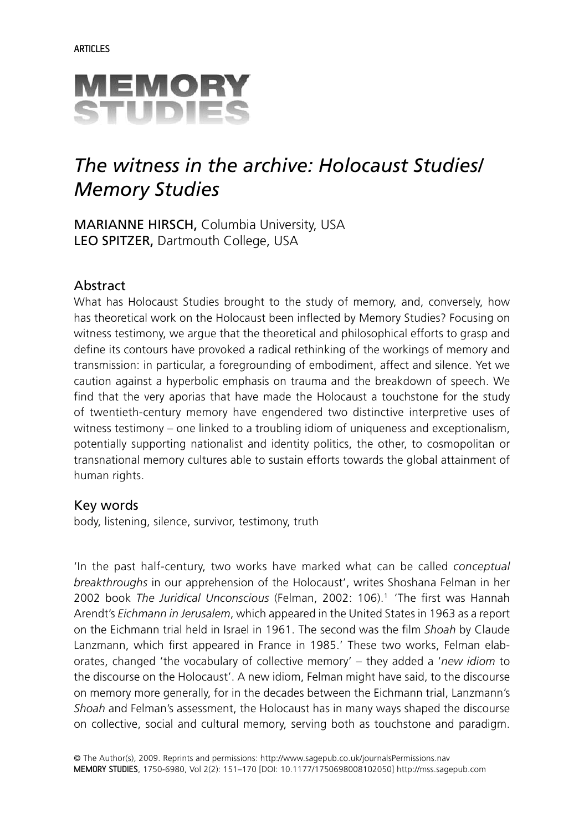# **MEMORY STUDIES**

## *The witness in the archive: Holocaust Studies/ Memory Studies*

MARIANNE HIRSCH, Columbia University, USA LEO SPITZER, Dartmouth College, USA

#### Abstract

What has Holocaust Studies brought to the study of memory, and, conversely, how has theoretical work on the Holocaust been inflected by Memory Studies? Focusing on witness testimony, we argue that the theoretical and philosophical efforts to grasp and define its contours have provoked a radical rethinking of the workings of memory and transmission: in particular, a foregrounding of embodiment, affect and silence. Yet we caution against a hyperbolic emphasis on trauma and the breakdown of speech. We find that the very aporias that have made the Holocaust a touchstone for the study of twentieth-century memory have engendered two distinctive interpretive uses of witness testimony – one linked to a troubling idiom of uniqueness and exceptionalism, potentially supporting nationalist and identity politics, the other, to cosmopolitan or transnational memory cultures able to sustain efforts towards the global attainment of human rights.

#### Key words

body, listening, silence, survivor, testimony, truth

'In the past half-century, two works have marked what can be called *conceptual breakthroughs* in our apprehension of the Holocaust', writes Shoshana Felman in her 2002 book *The Juridical Unconscious* (Felman, 2002: 106).<sup>1</sup> 'The first was Hannah Arendt's *Eichmann in Jerusalem*, which appeared in the United States in 1963 as a report on the Eichmann trial held in Israel in 1961. The second was the film *Shoah* by Claude Lanzmann, which first appeared in France in 1985.' These two works, Felman elaborates, changed 'the vocabulary of collective memory' – they added a '*new idiom* to the discourse on the Holocaust'. A new idiom, Felman might have said, to the discourse on memory more generally, for in the decades between the Eichmann trial, Lanzmann's *Shoah* and Felman's assessment, the Holocaust has in many ways shaped the discourse on collective, social and cultural memory, serving both as touchstone and paradigm.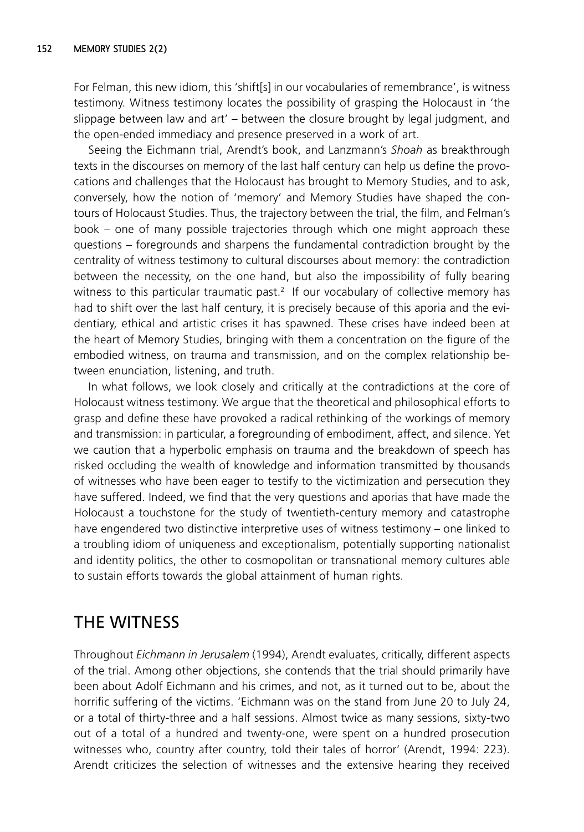For Felman, this new idiom, this 'shift[s] in our vocabularies of remembrance', is witness testimony. Witness testimony locates the possibility of grasping the Holocaust in 'the slippage between law and art' – between the closure brought by legal judgment, and the open-ended immediacy and presence preserved in a work of art.

Seeing the Eichmann trial, Arendt's book, and Lanzmann's *Shoah* as breakthrough texts in the discourses on memory of the last half century can help us define the provocations and challenges that the Holocaust has brought to Memory Studies, and to ask, conversely, how the notion of 'memory' and Memory Studies have shaped the contours of Holocaust Studies. Thus, the trajectory between the trial, the film, and Felman's book – one of many possible trajectories through which one might approach these questions – foregrounds and sharpens the fundamental contradiction brought by the centrality of witness testimony to cultural discourses about memory: the contradiction between the necessity, on the one hand, but also the impossibility of fully bearing witness to this particular traumatic past.<sup>2</sup> If our vocabulary of collective memory has had to shift over the last half century, it is precisely because of this aporia and the evidentiary, ethical and artistic crises it has spawned. These crises have indeed been at the heart of Memory Studies, bringing with them a concentration on the figure of the embodied witness, on trauma and transmission, and on the complex relationship between enunciation, listening, and truth.

In what follows, we look closely and critically at the contradictions at the core of Holocaust witness testimony. We argue that the theoretical and philosophical efforts to grasp and define these have provoked a radical rethinking of the workings of memory and transmission: in particular, a foregrounding of embodiment, affect, and silence. Yet we caution that a hyperbolic emphasis on trauma and the breakdown of speech has risked occluding the wealth of knowledge and information transmitted by thousands of witnesses who have been eager to testify to the victimization and persecution they have suffered. Indeed, we find that the very questions and aporias that have made the Holocaust a touchstone for the study of twentieth-century memory and catastrophe have engendered two distinctive interpretive uses of witness testimony – one linked to a troubling idiom of uniqueness and exceptionalism, potentially supporting nationalist and identity politics, the other to cosmopolitan or transnational memory cultures able to sustain efforts towards the global attainment of human rights.

## THE WITNESS

Throughout *Eichmann in Jerusalem* (1994), Arendt evaluates, critically, different aspects of the trial. Among other objections, she contends that the trial should primarily have been about Adolf Eichmann and his crimes, and not, as it turned out to be, about the horrific suffering of the victims. 'Eichmann was on the stand from June 20 to July 24, or a total of thirty-three and a half sessions. Almost twice as many sessions, sixty-two out of a total of a hundred and twenty-one, were spent on a hundred prosecution witnesses who, country after country, told their tales of horror' (Arendt, 1994: 223). Arendt criticizes the selection of witnesses and the extensive hearing they received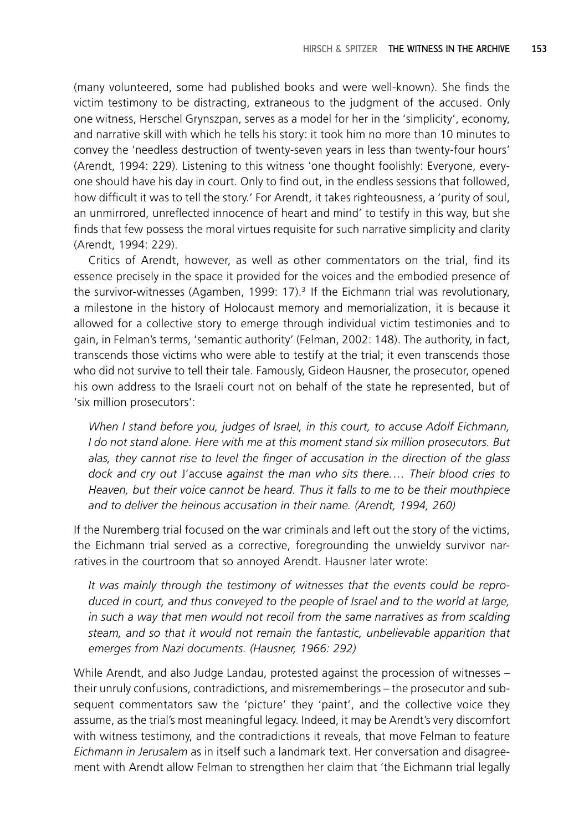(many volunteered, some had published books and were well-known). She finds the victim testimony to be distracting, extraneous to the judgment of the accused. Only one witness, Herschel Grynszpan, serves as a model for her in the 'simplicity', economy, and narrative skill with which he tells his story: it took him no more than 10 minutes to convey the 'needless destruction of twenty-seven years in less than twenty-four hours' (Arendt, 1994: 229). Listening to this witness 'one thought foolishly: Everyone, everyone should have his day in court. Only to find out, in the endless sessions that followed, how difficult it was to tell the story.' For Arendt, it takes righteousness, a 'purity of soul, an unmirrored, unreflected innocence of heart and mind' to testify in this way, but she finds that few possess the moral virtues requisite for such narrative simplicity and clarity (Arendt, 1994: 229).

Critics of Arendt, however, as well as other commentators on the trial, find its essence precisely in the space it provided for the voices and the embodied presence of the survivor-witnesses (Agamben, 1999: 17).<sup>3</sup> If the Eichmann trial was revolutionary, a milestone in the history of Holocaust memory and memorialization, it is because it allowed for a collective story to emerge through individual victim testimonies and to gain, in Felman's terms, 'semantic authority' (Felman, 2002: 148). The authority, in fact, transcends those victims who were able to testify at the trial; it even transcends those who did not survive to tell their tale. Famously, Gideon Hausner, the prosecutor, opened his own address to the Israeli court not on behalf of the state he represented, but of 'six million prosecutors':

*When I stand before you, judges of Israel, in this court, to accuse Adolf Eichmann, I do not stand alone. Here with me at this moment stand six million prosecutors. But*  alas, they cannot rise to level the finger of accusation in the direction of the glass *dock and cry out* J'accuse *against the man who sits there. … Their blood cries to Heaven, but their voice cannot be heard. Thus it falls to me to be their mouthpiece and to deliver the heinous accusation in their name. (Arendt, 1994, 260)*

If the Nuremberg trial focused on the war criminals and left out the story of the victims, the Eichmann trial served as a corrective, foregrounding the unwieldy survivor narratives in the courtroom that so annoyed Arendt. Hausner later wrote:

*It was mainly through the testimony of witnesses that the events could be reproduced in court, and thus conveyed to the people of Israel and to the world at large, in such a way that men would not recoil from the same narratives as from scalding steam, and so that it would not remain the fantastic, unbelievable apparition that emerges from Nazi documents. (Hausner, 1966: 292)*

While Arendt, and also Judge Landau, protested against the procession of witnesses – their unruly confusions, contradictions, and misrememberings – the prosecutor and subsequent commentators saw the 'picture' they 'paint', and the collective voice they assume, as the trial's most meaningful legacy. Indeed, it may be Arendt's very discomfort with witness testimony, and the contradictions it reveals, that move Felman to feature *Eichmann in Jerusalem* as in itself such a landmark text. Her conversation and disagreement with Arendt allow Felman to strengthen her claim that 'the Eichmann trial legally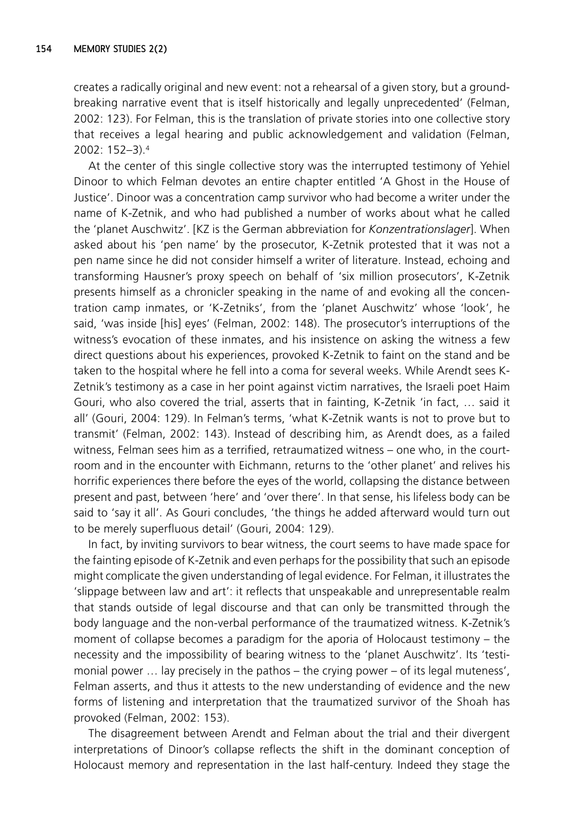creates a radically original and new event: not a rehearsal of a given story, but a groundbreaking narrative event that is itself historically and legally unprecedented' (Felman, 2002: 123). For Felman, this is the translation of private stories into one collective story that receives a legal hearing and public acknowledgement and validation (Felman, 2002: 152–3).4

At the center of this single collective story was the interrupted testimony of Yehiel Dinoor to which Felman devotes an entire chapter entitled 'A Ghost in the House of Justice'. Dinoor was a concentration camp survivor who had become a writer under the name of K-Zetnik, and who had published a number of works about what he called the 'planet Auschwitz'. [KZ is the German abbreviation for *Konzentrationslager*]. When asked about his 'pen name' by the prosecutor, K-Zetnik protested that it was not a pen name since he did not consider himself a writer of literature. Instead, echoing and transforming Hausner's proxy speech on behalf of 'six million prosecutors', K-Zetnik presents himself as a chronicler speaking in the name of and evoking all the concentration camp inmates, or 'K-Zetniks', from the 'planet Auschwitz' whose 'look', he said, 'was inside [his] eyes' (Felman, 2002: 148). The prosecutor's interruptions of the witness's evocation of these inmates, and his insistence on asking the witness a few direct questions about his experiences, provoked K-Zetnik to faint on the stand and be taken to the hospital where he fell into a coma for several weeks. While Arendt sees K-Zetnik's testimony as a case in her point against victim narratives, the Israeli poet Haim Gouri, who also covered the trial, asserts that in fainting, K-Zetnik 'in fact, … said it all' (Gouri, 2004: 129). In Felman's terms, 'what K-Zetnik wants is not to prove but to transmit' (Felman, 2002: 143). Instead of describing him, as Arendt does, as a failed witness, Felman sees him as a terrified, retraumatized witness – one who, in the courtroom and in the encounter with Eichmann, returns to the 'other planet' and relives his horrific experiences there before the eyes of the world, collapsing the distance between present and past, between 'here' and 'over there'. In that sense, his lifeless body can be said to 'say it all'. As Gouri concludes, 'the things he added afterward would turn out to be merely superfluous detail' (Gouri, 2004: 129).

In fact, by inviting survivors to bear witness, the court seems to have made space for the fainting episode of K-Zetnik and even perhaps for the possibility that such an episode might complicate the given understanding of legal evidence. For Felman, it illustrates the 'slippage between law and art': it reflects that unspeakable and unrepresentable realm that stands outside of legal discourse and that can only be transmitted through the body language and the non-verbal performance of the traumatized witness. K-Zetnik's moment of collapse becomes a paradigm for the aporia of Holocaust testimony – the necessity and the impossibility of bearing witness to the 'planet Auschwitz'. Its 'testimonial power … lay precisely in the pathos – the crying power – of its legal muteness', Felman asserts, and thus it attests to the new understanding of evidence and the new forms of listening and interpretation that the traumatized survivor of the Shoah has provoked (Felman, 2002: 153).

The disagreement between Arendt and Felman about the trial and their divergent interpretations of Dinoor's collapse reflects the shift in the dominant conception of Holocaust memory and representation in the last half-century. Indeed they stage the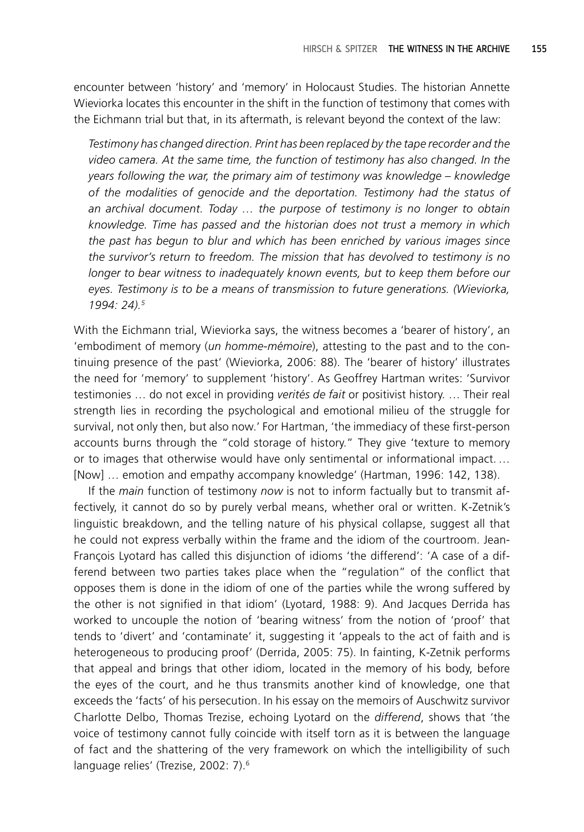encounter between 'history' and 'memory' in Holocaust Studies. The historian Annette Wieviorka locates this encounter in the shift in the function of testimony that comes with the Eichmann trial but that, in its aftermath, is relevant beyond the context of the law:

*Testimony has changed direction. Print has been replaced by the tape recorder and the video camera. At the same time, the function of testimony has also changed. In the years following the war, the primary aim of testimony was knowledge – knowledge of the modalities of genocide and the deportation. Testimony had the status of an archival document. Today … the purpose of testimony is no longer to obtain knowledge. Time has passed and the historian does not trust a memory in which the past has begun to blur and which has been enriched by various images since the survivor's return to freedom. The mission that has devolved to testimony is no longer to bear witness to inadequately known events, but to keep them before our eyes. Testimony is to be a means of transmission to future generations. (Wieviorka, 1994: 24).5*

With the Eichmann trial, Wieviorka says, the witness becomes a 'bearer of history', an 'embodiment of memory (*un homme-mémoire*), attesting to the past and to the continuing presence of the past' (Wieviorka, 2006: 88). The 'bearer of history' illustrates the need for 'memory' to supplement 'history'. As Geoffrey Hartman writes: 'Survivor testimonies … do not excel in providing *verités de fait* or positivist history. … Their real strength lies in recording the psychological and emotional milieu of the struggle for survival, not only then, but also now.' For Hartman, 'the immediacy of these first-person accounts burns through the "cold storage of history." They give 'texture to memory or to images that otherwise would have only sentimental or informational impact. … [Now] … emotion and empathy accompany knowledge' (Hartman, 1996: 142, 138).

If the *main* function of testimony *now* is not to inform factually but to transmit affectively, it cannot do so by purely verbal means, whether oral or written. K-Zetnik's linguistic breakdown, and the telling nature of his physical collapse, suggest all that he could not express verbally within the frame and the idiom of the courtroom. Jean-François Lyotard has called this disjunction of idioms 'the differend': 'A case of a differend between two parties takes place when the "regulation" of the conflict that opposes them is done in the idiom of one of the parties while the wrong suffered by the other is not signified in that idiom' (Lyotard, 1988: 9). And Jacques Derrida has worked to uncouple the notion of 'bearing witness' from the notion of 'proof' that tends to 'divert' and 'contaminate' it, suggesting it 'appeals to the act of faith and is heterogeneous to producing proof' (Derrida, 2005: 75). In fainting, K-Zetnik performs that appeal and brings that other idiom, located in the memory of his body, before the eyes of the court, and he thus transmits another kind of knowledge, one that exceeds the 'facts' of his persecution. In his essay on the memoirs of Auschwitz survivor Charlotte Delbo, Thomas Trezise, echoing Lyotard on the *differend*, shows that 'the voice of testimony cannot fully coincide with itself torn as it is between the language of fact and the shattering of the very framework on which the intelligibility of such language relies' (Trezise, 2002: 7).6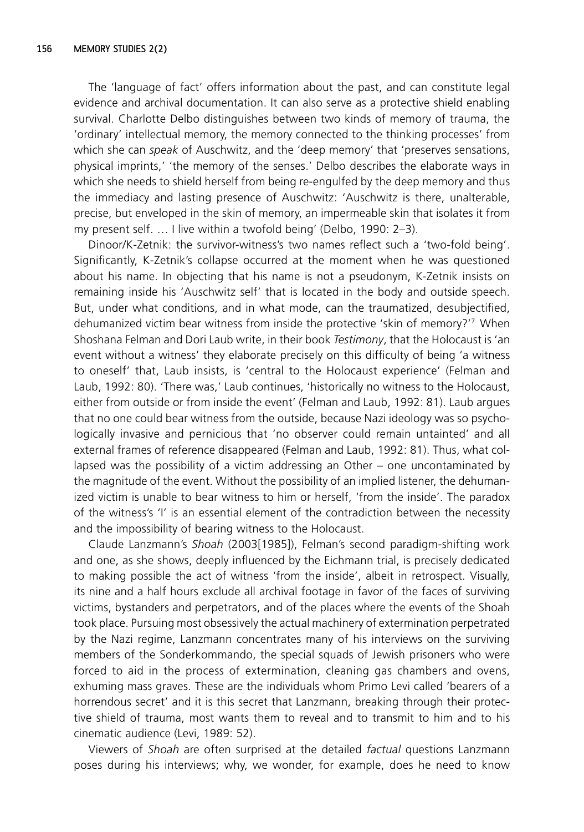The 'language of fact' offers information about the past, and can constitute legal evidence and archival documentation. It can also serve as a protective shield enabling survival. Charlotte Delbo distinguishes between two kinds of memory of trauma, the 'ordinary' intellectual memory, the memory connected to the thinking processes' from which she can *speak* of Auschwitz, and the 'deep memory' that 'preserves sensations, physical imprints,' 'the memory of the senses.' Delbo describes the elaborate ways in which she needs to shield herself from being re-engulfed by the deep memory and thus the immediacy and lasting presence of Auschwitz: 'Auschwitz is there, unalterable, precise, but enveloped in the skin of memory, an impermeable skin that isolates it from my present self. … I live within a twofold being' (Delbo, 1990: 2–3).

Dinoor/K-Zetnik: the survivor-witness's two names reflect such a 'two-fold being'. Significantly, K-Zetnik's collapse occurred at the moment when he was questioned about his name. In objecting that his name is not a pseudonym, K-Zetnik insists on remaining inside his 'Auschwitz self' that is located in the body and outside speech. But, under what conditions, and in what mode, can the traumatized, desubjectified, dehumanized victim bear witness from inside the protective 'skin of memory?'7 When Shoshana Felman and Dori Laub write, in their book *Testimony*, that the Holocaust is 'an event without a witness' they elaborate precisely on this difficulty of being 'a witness to oneself' that, Laub insists, is 'central to the Holocaust experience' (Felman and Laub, 1992: 80). 'There was,' Laub continues, 'historically no witness to the Holocaust, either from outside or from inside the event' (Felman and Laub, 1992: 81). Laub argues that no one could bear witness from the outside, because Nazi ideology was so psychologically invasive and pernicious that 'no observer could remain untainted' and all external frames of reference disappeared (Felman and Laub, 1992: 81). Thus, what collapsed was the possibility of a victim addressing an Other – one uncontaminated by the magnitude of the event. Without the possibility of an implied listener, the dehumanized victim is unable to bear witness to him or herself, 'from the inside'. The paradox of the witness's 'I' is an essential element of the contradiction between the necessity and the impossibility of bearing witness to the Holocaust.

Claude Lanzmann's *Shoah* (2003[1985]), Felman's second paradigm-shifting work and one, as she shows, deeply influenced by the Eichmann trial, is precisely dedicated to making possible the act of witness 'from the inside', albeit in retrospect. Visually, its nine and a half hours exclude all archival footage in favor of the faces of surviving victims, bystanders and perpetrators, and of the places where the events of the Shoah took place. Pursuing most obsessively the actual machinery of extermination perpetrated by the Nazi regime, Lanzmann concentrates many of his interviews on the surviving members of the Sonderkommando, the special squads of Jewish prisoners who were forced to aid in the process of extermination, cleaning gas chambers and ovens, exhuming mass graves. These are the individuals whom Primo Levi called 'bearers of a horrendous secret' and it is this secret that Lanzmann, breaking through their protective shield of trauma, most wants them to reveal and to transmit to him and to his cinematic audience (Levi, 1989: 52).

Viewers of *Shoah* are often surprised at the detailed *factual* questions Lanzmann poses during his interviews; why, we wonder, for example, does he need to know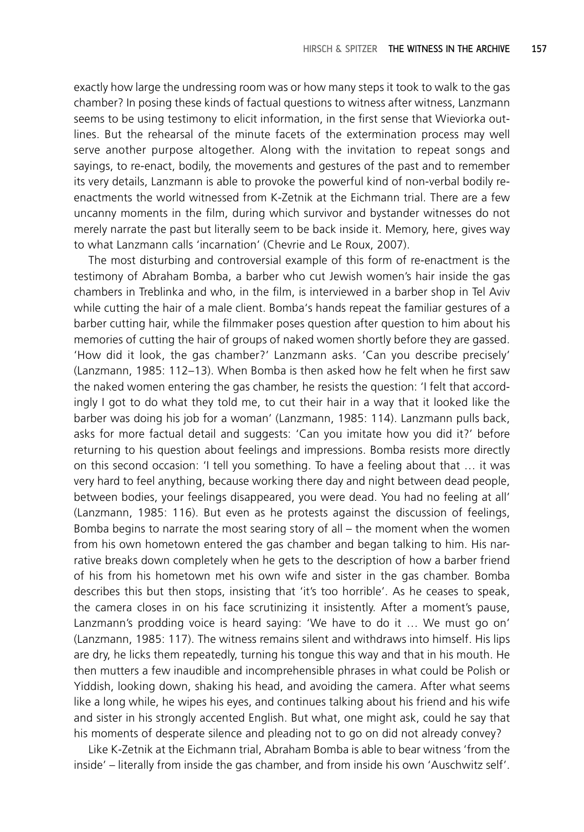exactly how large the undressing room was or how many steps it took to walk to the gas chamber? In posing these kinds of factual questions to witness after witness, Lanzmann seems to be using testimony to elicit information, in the first sense that Wieviorka outlines. But the rehearsal of the minute facets of the extermination process may well serve another purpose altogether. Along with the invitation to repeat songs and sayings, to re-enact, bodily, the movements and gestures of the past and to remember its very details, Lanzmann is able to provoke the powerful kind of non-verbal bodily reenactments the world witnessed from K-Zetnik at the Eichmann trial. There are a few uncanny moments in the film, during which survivor and bystander witnesses do not merely narrate the past but literally seem to be back inside it. Memory, here, gives way to what Lanzmann calls 'incarnation' (Chevrie and Le Roux, 2007).

The most disturbing and controversial example of this form of re-enactment is the testimony of Abraham Bomba, a barber who cut Jewish women's hair inside the gas chambers in Treblinka and who, in the film, is interviewed in a barber shop in Tel Aviv while cutting the hair of a male client. Bomba's hands repeat the familiar gestures of a barber cutting hair, while the filmmaker poses question after question to him about his memories of cutting the hair of groups of naked women shortly before they are gassed. 'How did it look, the gas chamber?' Lanzmann asks. 'Can you describe precisely'  $(Lanzmann, 1985: 112-13)$ . When Bomba is then asked how he felt when he first saw the naked women entering the gas chamber, he resists the question: 'I felt that accordingly I got to do what they told me, to cut their hair in a way that it looked like the barber was doing his job for a woman' (Lanzmann, 1985: 114). Lanzmann pulls back, asks for more factual detail and suggests: 'Can you imitate how you did it?' before returning to his question about feelings and impressions. Bomba resists more directly on this second occasion: 'I tell you something. To have a feeling about that … it was very hard to feel anything, because working there day and night between dead people, between bodies, your feelings disappeared, you were dead. You had no feeling at all' (Lanzmann, 1985: 116). But even as he protests against the discussion of feelings, Bomba begins to narrate the most searing story of all – the moment when the women from his own hometown entered the gas chamber and began talking to him. His narrative breaks down completely when he gets to the description of how a barber friend of his from his hometown met his own wife and sister in the gas chamber. Bomba describes this but then stops, insisting that 'it's too horrible'. As he ceases to speak, the camera closes in on his face scrutinizing it insistently. After a moment's pause, Lanzmann's prodding voice is heard saying: 'We have to do it … We must go on' (Lanzmann, 1985: 117). The witness remains silent and withdraws into himself. His lips are dry, he licks them repeatedly, turning his tongue this way and that in his mouth. He then mutters a few inaudible and incomprehensible phrases in what could be Polish or Yiddish, looking down, shaking his head, and avoiding the camera. After what seems like a long while, he wipes his eyes, and continues talking about his friend and his wife and sister in his strongly accented English. But what, one might ask, could he say that his moments of desperate silence and pleading not to go on did not already convey?

Like K-Zetnik at the Eichmann trial, Abraham Bomba is able to bear witness 'from the inside' – literally from inside the gas chamber, and from inside his own 'Auschwitz self'.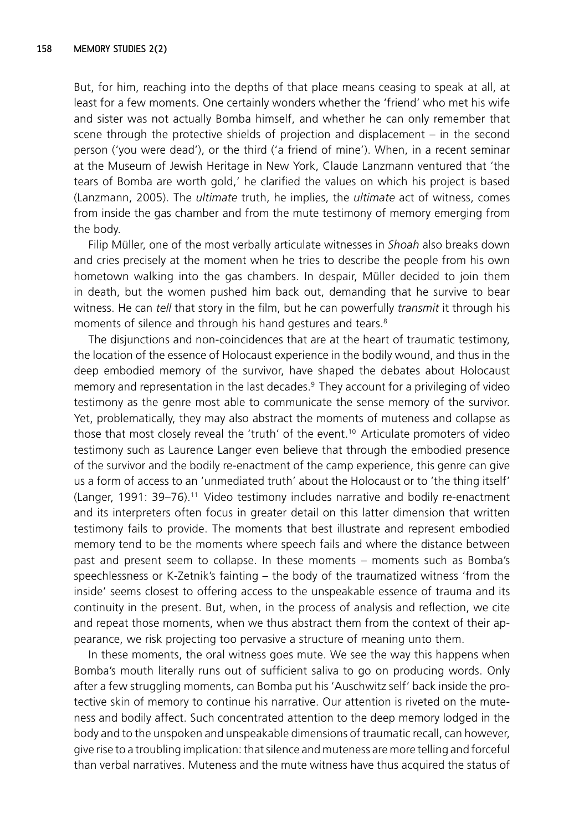But, for him, reaching into the depths of that place means ceasing to speak at all, at least for a few moments. One certainly wonders whether the 'friend' who met his wife and sister was not actually Bomba himself, and whether he can only remember that scene through the protective shields of projection and displacement – in the second person ('you were dead'), or the third ('a friend of mine'). When, in a recent seminar at the Museum of Jewish Heritage in New York, Claude Lanzmann ventured that 'the tears of Bomba are worth gold,' he clarified the values on which his project is based (Lanzmann, 2005). The *ultimate* truth, he implies, the *ultimate* act of witness, comes from inside the gas chamber and from the mute testimony of memory emerging from the body.

Filip Müller, one of the most verbally articulate witnesses in *Shoah* also breaks down and cries precisely at the moment when he tries to describe the people from his own hometown walking into the gas chambers. In despair, Müller decided to join them in death, but the women pushed him back out, demanding that he survive to bear witness. He can *tell* that story in the film, but he can powerfully *transmit* it through his moments of silence and through his hand gestures and tears.<sup>8</sup>

The disjunctions and non-coincidences that are at the heart of traumatic testimony, the location of the essence of Holocaust experience in the bodily wound, and thus in the deep embodied memory of the survivor, have shaped the debates about Holocaust memory and representation in the last decades.<sup>9</sup> They account for a privileging of video testimony as the genre most able to communicate the sense memory of the survivor. Yet, problematically, they may also abstract the moments of muteness and collapse as those that most closely reveal the 'truth' of the event.10 Articulate promoters of video testimony such as Laurence Langer even believe that through the embodied presence of the survivor and the bodily re-enactment of the camp experience, this genre can give us a form of access to an 'unmediated truth' about the Holocaust or to 'the thing itself' (Langer, 1991: 39–76).11 Video testimony includes narrative and bodily re-enactment and its interpreters often focus in greater detail on this latter dimension that written testimony fails to provide. The moments that best illustrate and represent embodied memory tend to be the moments where speech fails and where the distance between past and present seem to collapse. In these moments – moments such as Bomba's speechlessness or K-Zetnik's fainting – the body of the traumatized witness 'from the inside' seems closest to offering access to the unspeakable essence of trauma and its continuity in the present. But, when, in the process of analysis and reflection, we cite and repeat those moments, when we thus abstract them from the context of their appearance, we risk projecting too pervasive a structure of meaning unto them.

In these moments, the oral witness goes mute. We see the way this happens when Bomba's mouth literally runs out of sufficient saliva to go on producing words. Only after a few struggling moments, can Bomba put his 'Auschwitz self' back inside the protective skin of memory to continue his narrative. Our attention is riveted on the muteness and bodily affect. Such concentrated attention to the deep memory lodged in the body and to the unspoken and unspeakable dimensions of traumatic recall, can however, give rise to a troubling implication: that silence and muteness are more telling and forceful than verbal narratives. Muteness and the mute witness have thus acquired the status of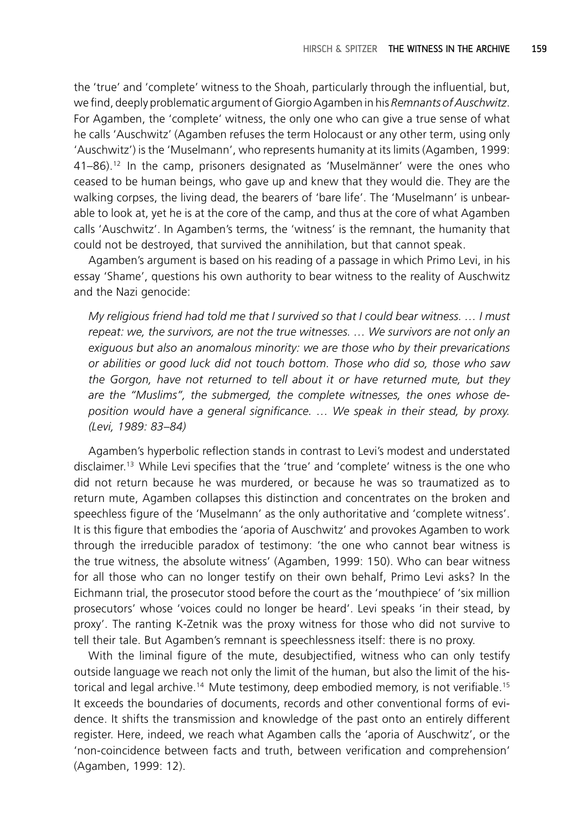the 'true' and 'complete' witness to the Shoah, particularly through the influential, but, we find, deeply problematic argument of Giorgio Agamben in his *Remnants of Auschwitz*. For Agamben, the 'complete' witness, the only one who can give a true sense of what he calls 'Auschwitz' (Agamben refuses the term Holocaust or any other term, using only 'Auschwitz') is the 'Muselmann', who represents humanity at its limits (Agamben, 1999: 41–86).12 In the camp, prisoners designated as 'Muselmänner' were the ones who ceased to be human beings, who gave up and knew that they would die. They are the walking corpses, the living dead, the bearers of 'bare life'. The 'Muselmann' is unbearable to look at, yet he is at the core of the camp, and thus at the core of what Agamben calls 'Auschwitz'. In Agamben's terms, the 'witness' is the remnant, the humanity that could not be destroyed, that survived the annihilation, but that cannot speak.

Agamben's argument is based on his reading of a passage in which Primo Levi, in his essay 'Shame', questions his own authority to bear witness to the reality of Auschwitz and the Nazi genocide:

*My religious friend had told me that I survived so that I could bear witness. … I must repeat: we, the survivors, are not the true witnesses. … We survivors are not only an exiguous but also an anomalous minority: we are those who by their prevarications or abilities or good luck did not touch bottom. Those who did so, those who saw the Gorgon, have not returned to tell about it or have returned mute, but they are the "Muslims", the submerged, the complete witnesses, the ones whose de*position would have a general significance. ... We speak in their stead, by proxy. *(Levi, 1989: 83–84)*

Agamben's hyperbolic reflection stands in contrast to Levi's modest and understated disclaimer.<sup>13</sup> While Levi specifies that the 'true' and 'complete' witness is the one who did not return because he was murdered, or because he was so traumatized as to return mute, Agamben collapses this distinction and concentrates on the broken and speechless figure of the 'Muselmann' as the only authoritative and 'complete witness'. It is this figure that embodies the 'aporia of Auschwitz' and provokes Agamben to work through the irreducible paradox of testimony: 'the one who cannot bear witness is the true witness, the absolute witness' (Agamben, 1999: 150). Who can bear witness for all those who can no longer testify on their own behalf, Primo Levi asks? In the Eichmann trial, the prosecutor stood before the court as the 'mouthpiece' of 'six million prosecutors' whose 'voices could no longer be heard'. Levi speaks 'in their stead, by proxy'. The ranting K-Zetnik was the proxy witness for those who did not survive to tell their tale. But Agamben's remnant is speechlessness itself: there is no proxy.

With the liminal figure of the mute, desubjectified, witness who can only testify outside language we reach not only the limit of the human, but also the limit of the historical and legal archive.<sup>14</sup> Mute testimony, deep embodied memory, is not verifiable.<sup>15</sup> It exceeds the boundaries of documents, records and other conventional forms of evidence. It shifts the transmission and knowledge of the past onto an entirely different register. Here, indeed, we reach what Agamben calls the 'aporia of Auschwitz', or the 'non-coincidence between facts and truth, between verification and comprehension' (Agamben, 1999: 12).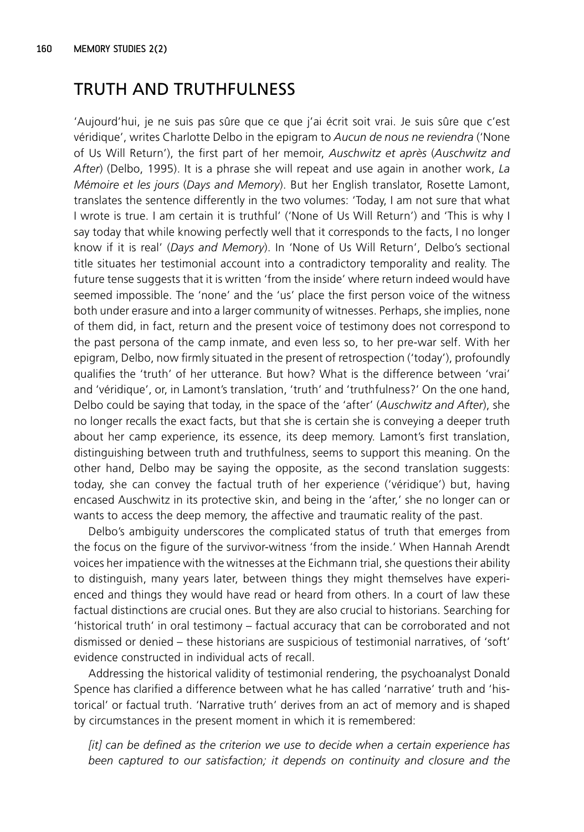## TRUTH AND TRUTHFULNESS

'Aujourd'hui, je ne suis pas sûre que ce que j'ai écrit soit vrai. Je suis sûre que c'est véridique', writes Charlotte Delbo in the epigram to *Aucun de nous ne reviendra* ('None of Us Will Return'), the first part of her memoir, *Auschwitz et après* (Auschwitz and *After*) (Delbo, 1995). It is a phrase she will repeat and use again in another work, *La Mémoire et les jours* (*Days and Memory*). But her English translator, Rosette Lamont, translates the sentence differently in the two volumes: 'Today, I am not sure that what I wrote is true. I am certain it is truthful' ('None of Us Will Return') and 'This is why I say today that while knowing perfectly well that it corresponds to the facts, I no longer know if it is real' (*Days and Memory*). In 'None of Us Will Return', Delbo's sectional title situates her testimonial account into a contradictory temporality and reality. The future tense suggests that it is written 'from the inside' where return indeed would have seemed impossible. The 'none' and the 'us' place the first person voice of the witness both under erasure and into a larger community of witnesses. Perhaps, she implies, none of them did, in fact, return and the present voice of testimony does not correspond to the past persona of the camp inmate, and even less so, to her pre-war self. With her epigram, Delbo, now firmly situated in the present of retrospection ('today'), profoundly qualifies the 'truth' of her utterance. But how? What is the difference between 'vrai' and 'véridique', or, in Lamont's translation, 'truth' and 'truthfulness?' On the one hand, Delbo could be saying that today, in the space of the 'after' (*Auschwitz and After*), she no longer recalls the exact facts, but that she is certain she is conveying a deeper truth about her camp experience, its essence, its deep memory. Lamont's first translation, distinguishing between truth and truthfulness, seems to support this meaning. On the other hand, Delbo may be saying the opposite, as the second translation suggests: today, she can convey the factual truth of her experience ('véridique') but, having encased Auschwitz in its protective skin, and being in the 'after,' she no longer can or wants to access the deep memory, the affective and traumatic reality of the past.

Delbo's ambiguity underscores the complicated status of truth that emerges from the focus on the figure of the survivor-witness 'from the inside.' When Hannah Arendt voices her impatience with the witnesses at the Eichmann trial, she questions their ability to distinguish, many years later, between things they might themselves have experienced and things they would have read or heard from others. In a court of law these factual distinctions are crucial ones. But they are also crucial to historians. Searching for 'historical truth' in oral testimony – factual accuracy that can be corroborated and not dismissed or denied – these historians are suspicious of testimonial narratives, of 'soft' evidence constructed in individual acts of recall.

Addressing the historical validity of testimonial rendering, the psychoanalyst Donald Spence has clarified a difference between what he has called 'narrative' truth and 'historical' or factual truth. 'Narrative truth' derives from an act of memory and is shaped by circumstances in the present moment in which it is remembered:

*[it]* can be defined as the criterion we use to decide when a certain experience has *been captured to our satisfaction; it depends on continuity and closure and the*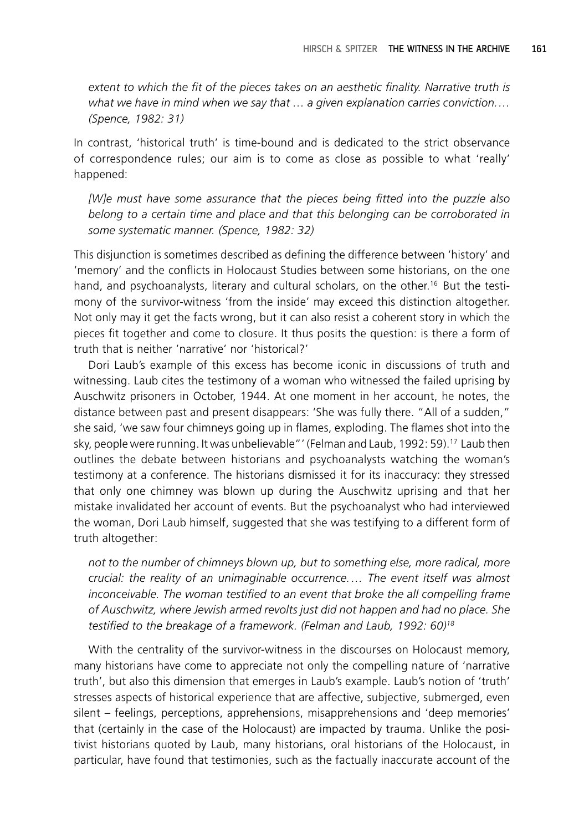extent to which the fit of the pieces takes on an aesthetic finality. Narrative truth is *what we have in mind when we say that … a given explanation carries conviction. … (Spence, 1982: 31)*

In contrast, 'historical truth' is time-bound and is dedicated to the strict observance of correspondence rules; our aim is to come as close as possible to what 'really' happened:

*[W]e must have some assurance that the pieces being fitted into the puzzle also belong to a certain time and place and that this belonging can be corroborated in some systematic manner. (Spence, 1982: 32)*

This disjunction is sometimes described as defining the difference between 'history' and 'memory' and the conflicts in Holocaust Studies between some historians, on the one hand, and psychoanalysts, literary and cultural scholars, on the other.<sup>16</sup> But the testimony of the survivor-witness 'from the inside' may exceed this distinction altogether. Not only may it get the facts wrong, but it can also resist a coherent story in which the pieces fit together and come to closure. It thus posits the question: is there a form of truth that is neither 'narrative' nor 'historical?'

Dori Laub's example of this excess has become iconic in discussions of truth and witnessing. Laub cites the testimony of a woman who witnessed the failed uprising by Auschwitz prisoners in October, 1944. At one moment in her account, he notes, the distance between past and present disappears: 'She was fully there. "All of a sudden," she said, 'we saw four chimneys going up in flames, exploding. The flames shot into the sky, people were running. It was unbelievable"' (Felman and Laub, 1992: 59).17 Laub then outlines the debate between historians and psychoanalysts watching the woman's testimony at a conference. The historians dismissed it for its inaccuracy: they stressed that only one chimney was blown up during the Auschwitz uprising and that her mistake invalidated her account of events. But the psychoanalyst who had interviewed the woman, Dori Laub himself, suggested that she was testifying to a different form of truth altogether:

*not to the number of chimneys blown up, but to something else, more radical, more crucial: the reality of an unimaginable occurrence. … The event itself was almost inconceivable. The woman testified to an event that broke the all compelling frame of Auschwitz, where Jewish armed revolts just did not happen and had no place. She*  testified to the breakage of a framework. (Felman and Laub, 1992: 60)<sup>18</sup>

With the centrality of the survivor-witness in the discourses on Holocaust memory, many historians have come to appreciate not only the compelling nature of 'narrative truth', but also this dimension that emerges in Laub's example. Laub's notion of 'truth' stresses aspects of historical experience that are affective, subjective, submerged, even silent – feelings, perceptions, apprehensions, misapprehensions and 'deep memories' that (certainly in the case of the Holocaust) are impacted by trauma. Unlike the positivist historians quoted by Laub, many historians, oral historians of the Holocaust, in particular, have found that testimonies, such as the factually inaccurate account of the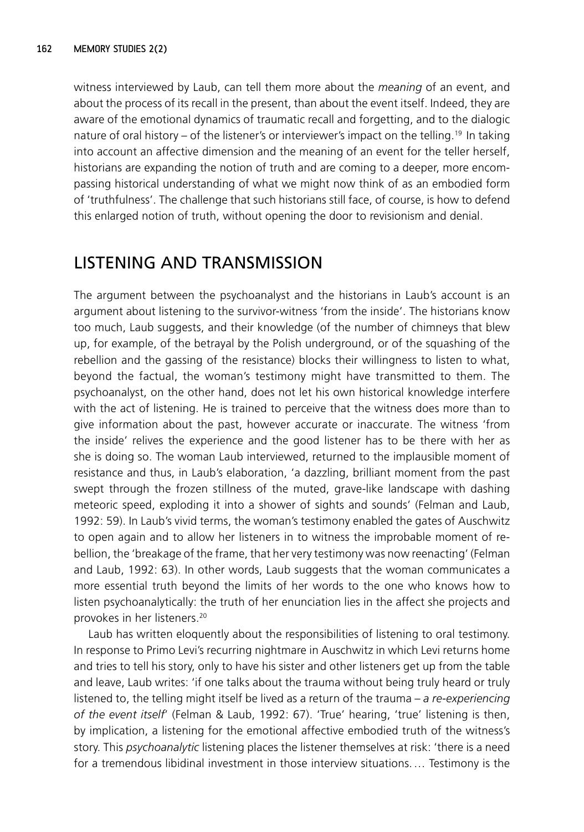witness interviewed by Laub, can tell them more about the *meaning* of an event, and about the process of its recall in the present, than about the event itself. Indeed, they are aware of the emotional dynamics of traumatic recall and forgetting, and to the dialogic nature of oral history – of the listener's or interviewer's impact on the telling.19 In taking into account an affective dimension and the meaning of an event for the teller herself, historians are expanding the notion of truth and are coming to a deeper, more encompassing historical understanding of what we might now think of as an embodied form of 'truthfulness'. The challenge that such historians still face, of course, is how to defend this enlarged notion of truth, without opening the door to revisionism and denial.

## LISTENING AND TRANSMISSION

The argument between the psychoanalyst and the historians in Laub's account is an argument about listening to the survivor-witness 'from the inside'. The historians know too much, Laub suggests, and their knowledge (of the number of chimneys that blew up, for example, of the betrayal by the Polish underground, or of the squashing of the rebellion and the gassing of the resistance) blocks their willingness to listen to what, beyond the factual, the woman's testimony might have transmitted to them. The psychoanalyst, on the other hand, does not let his own historical knowledge interfere with the act of listening. He is trained to perceive that the witness does more than to give information about the past, however accurate or inaccurate. The witness 'from the inside' relives the experience and the good listener has to be there with her as she is doing so. The woman Laub interviewed, returned to the implausible moment of resistance and thus, in Laub's elaboration, 'a dazzling, brilliant moment from the past swept through the frozen stillness of the muted, grave-like landscape with dashing meteoric speed, exploding it into a shower of sights and sounds' (Felman and Laub, 1992: 59). In Laub's vivid terms, the woman's testimony enabled the gates of Auschwitz to open again and to allow her listeners in to witness the improbable moment of rebellion, the 'breakage of the frame, that her very testimony was now reenacting' (Felman and Laub, 1992: 63). In other words, Laub suggests that the woman communicates a more essential truth beyond the limits of her words to the one who knows how to listen psychoanalytically: the truth of her enunciation lies in the affect she projects and provokes in her listeners.20

Laub has written eloquently about the responsibilities of listening to oral testimony. In response to Primo Levi's recurring nightmare in Auschwitz in which Levi returns home and tries to tell his story, only to have his sister and other listeners get up from the table and leave, Laub writes: 'if one talks about the trauma without being truly heard or truly listened to, the telling might itself be lived as a return of the trauma – *a re-experiencing of the event itself*' (Felman & Laub, 1992: 67). 'True' hearing, 'true' listening is then, by implication, a listening for the emotional affective embodied truth of the witness's story. This *psychoanalytic* listening places the listener themselves at risk: 'there is a need for a tremendous libidinal investment in those interview situations. … Testimony is the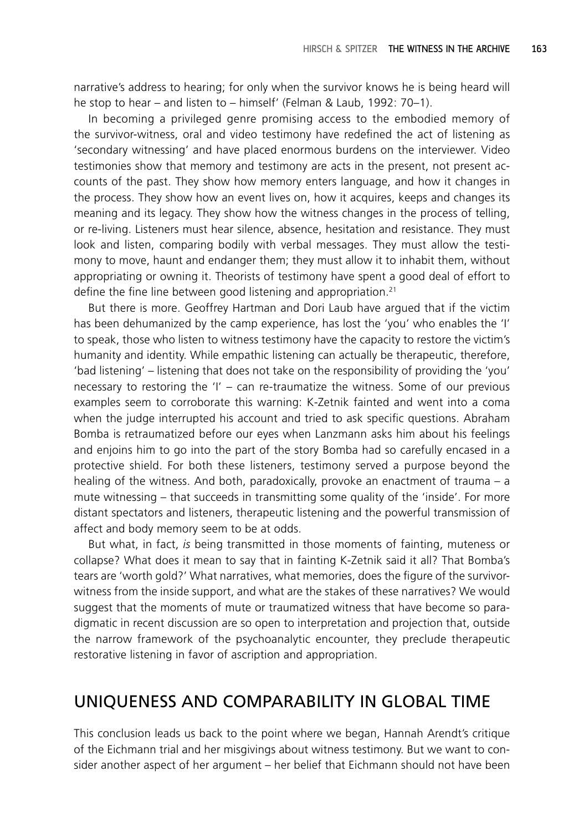narrative's address to hearing; for only when the survivor knows he is being heard will he stop to hear – and listen to – himself' (Felman & Laub, 1992: 70–1).

In becoming a privileged genre promising access to the embodied memory of the survivor-witness, oral and video testimony have redefined the act of listening as 'secondary witnessing' and have placed enormous burdens on the interviewer. Video testimonies show that memory and testimony are acts in the present, not present accounts of the past. They show how memory enters language, and how it changes in the process. They show how an event lives on, how it acquires, keeps and changes its meaning and its legacy. They show how the witness changes in the process of telling, or re-living. Listeners must hear silence, absence, hesitation and resistance. They must look and listen, comparing bodily with verbal messages. They must allow the testimony to move, haunt and endanger them; they must allow it to inhabit them, without appropriating or owning it. Theorists of testimony have spent a good deal of effort to define the fine line between good listening and appropriation.<sup>21</sup>

But there is more. Geoffrey Hartman and Dori Laub have argued that if the victim has been dehumanized by the camp experience, has lost the 'you' who enables the 'I' to speak, those who listen to witness testimony have the capacity to restore the victim's humanity and identity. While empathic listening can actually be therapeutic, therefore, 'bad listening' – listening that does not take on the responsibility of providing the 'you' necessary to restoring the 'I' – can re-traumatize the witness. Some of our previous examples seem to corroborate this warning: K-Zetnik fainted and went into a coma when the judge interrupted his account and tried to ask specific questions. Abraham Bomba is retraumatized before our eyes when Lanzmann asks him about his feelings and enjoins him to go into the part of the story Bomba had so carefully encased in a protective shield. For both these listeners, testimony served a purpose beyond the healing of the witness. And both, paradoxically, provoke an enactment of trauma – a mute witnessing – that succeeds in transmitting some quality of the 'inside'. For more distant spectators and listeners, therapeutic listening and the powerful transmission of affect and body memory seem to be at odds.

But what, in fact, *is* being transmitted in those moments of fainting, muteness or collapse? What does it mean to say that in fainting K-Zetnik said it all? That Bomba's tears are 'worth gold?' What narratives, what memories, does the figure of the survivorwitness from the inside support, and what are the stakes of these narratives? We would suggest that the moments of mute or traumatized witness that have become so paradigmatic in recent discussion are so open to interpretation and projection that, outside the narrow framework of the psychoanalytic encounter, they preclude therapeutic restorative listening in favor of ascription and appropriation.

## UNIQUENESS AND COMPARABILITY IN GLOBAL TIME

This conclusion leads us back to the point where we began, Hannah Arendt's critique of the Eichmann trial and her misgivings about witness testimony. But we want to consider another aspect of her argument – her belief that Eichmann should not have been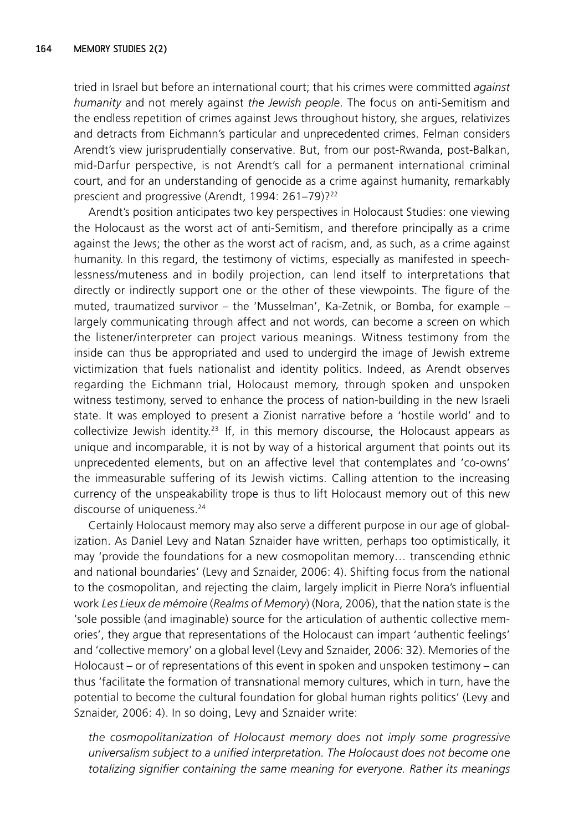tried in Israel but before an international court; that his crimes were committed *against humanity* and not merely against *the Jewish people*. The focus on anti-Semitism and the endless repetition of crimes against Jews throughout history, she argues, relativizes and detracts from Eichmann's particular and unprecedented crimes. Felman considers Arendt's view jurisprudentially conservative. But, from our post-Rwanda, post-Balkan, mid-Darfur perspective, is not Arendt's call for a permanent international criminal court, and for an understanding of genocide as a crime against humanity, remarkably prescient and progressive (Arendt, 1994: 261–79)?22

Arendt's position anticipates two key perspectives in Holocaust Studies: one viewing the Holocaust as the worst act of anti-Semitism, and therefore principally as a crime against the Jews; the other as the worst act of racism, and, as such, as a crime against humanity. In this regard, the testimony of victims, especially as manifested in speechlessness/muteness and in bodily projection, can lend itself to interpretations that directly or indirectly support one or the other of these viewpoints. The figure of the muted, traumatized survivor – the 'Musselman', Ka-Zetnik, or Bomba, for example – largely communicating through affect and not words, can become a screen on which the listener/interpreter can project various meanings. Witness testimony from the inside can thus be appropriated and used to undergird the image of Jewish extreme victimization that fuels nationalist and identity politics. Indeed, as Arendt observes regarding the Eichmann trial, Holocaust memory, through spoken and unspoken witness testimony, served to enhance the process of nation-building in the new Israeli state. It was employed to present a Zionist narrative before a 'hostile world' and to collectivize Jewish identity.<sup>23</sup> If, in this memory discourse, the Holocaust appears as unique and incomparable, it is not by way of a historical argument that points out its unprecedented elements, but on an affective level that contemplates and 'co-owns' the immeasurable suffering of its Jewish victims. Calling attention to the increasing currency of the unspeakability trope is thus to lift Holocaust memory out of this new discourse of uniqueness.<sup>24</sup>

Certainly Holocaust memory may also serve a different purpose in our age of globalization. As Daniel Levy and Natan Sznaider have written, perhaps too optimistically, it may 'provide the foundations for a new cosmopolitan memory… transcending ethnic and national boundaries' (Levy and Sznaider, 2006: 4). Shifting focus from the national to the cosmopolitan, and rejecting the claim, largely implicit in Pierre Nora's influential work *Les Lieux de mémoire* (*Realms of Memory*) (Nora, 2006), that the nation state is the 'sole possible (and imaginable) source for the articulation of authentic collective memories', they argue that representations of the Holocaust can impart 'authentic feelings' and 'collective memory' on a global level (Levy and Sznaider, 2006: 32). Memories of the Holocaust – or of representations of this event in spoken and unspoken testimony – can thus 'facilitate the formation of transnational memory cultures, which in turn, have the potential to become the cultural foundation for global human rights politics' (Levy and Sznaider, 2006: 4). In so doing, Levy and Sznaider write:

*the cosmopolitanization of Holocaust memory does not imply some progressive universalism subject to a unified interpretation. The Holocaust does not become one totalizing signifier containing the same meaning for everyone. Rather its meanings*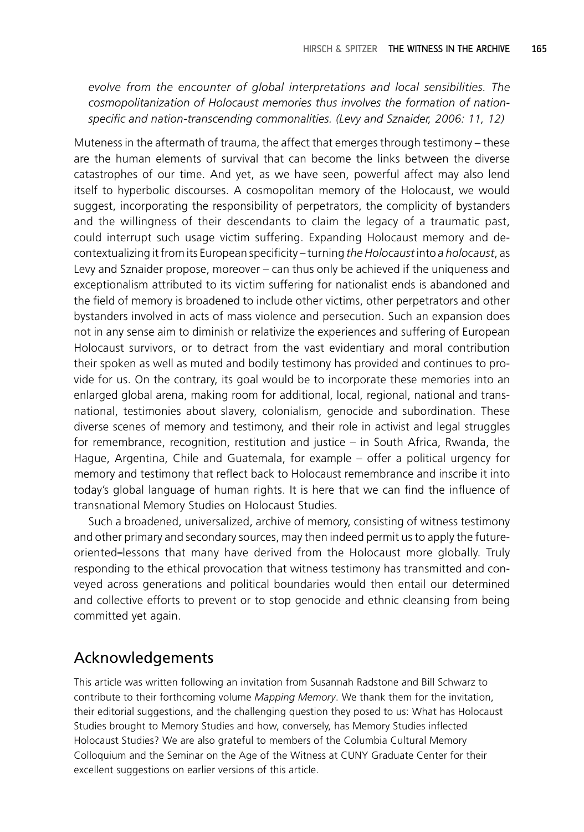*evolve from the encounter of global interpretations and local sensibilities. The cosmopolitanization of Holocaust memories thus involves the formation of nation*specific and nation-transcending commonalities. (Levy and Sznaider, 2006: 11, 12)

Muteness in the aftermath of trauma, the affect that emerges through testimony – these are the human elements of survival that can become the links between the diverse catastrophes of our time. And yet, as we have seen, powerful affect may also lend itself to hyperbolic discourses. A cosmopolitan memory of the Holocaust, we would suggest, incorporating the responsibility of perpetrators, the complicity of bystanders and the willingness of their descendants to claim the legacy of a traumatic past, could interrupt such usage victim suffering. Expanding Holocaust memory and decontextualizing it from its European specificity – turning the Holocaust into a holocaust, as Levy and Sznaider propose, moreover – can thus only be achieved if the uniqueness and exceptionalism attributed to its victim suffering for nationalist ends is abandoned and the field of memory is broadened to include other victims, other perpetrators and other bystanders involved in acts of mass violence and persecution. Such an expansion does not in any sense aim to diminish or relativize the experiences and suffering of European Holocaust survivors, or to detract from the vast evidentiary and moral contribution their spoken as well as muted and bodily testimony has provided and continues to provide for us. On the contrary, its goal would be to incorporate these memories into an enlarged global arena, making room for additional, local, regional, national and transnational, testimonies about slavery, colonialism, genocide and subordination. These diverse scenes of memory and testimony, and their role in activist and legal struggles for remembrance, recognition, restitution and justice – in South Africa, Rwanda, the Hague, Argentina, Chile and Guatemala, for example – offer a political urgency for memory and testimony that reflect back to Holocaust remembrance and inscribe it into today's global language of human rights. It is here that we can find the influence of transnational Memory Studies on Holocaust Studies.

Such a broadened, universalized, archive of memory, consisting of witness testimony and other primary and secondary sources, may then indeed permit us to apply the futureoriented lessons that many have derived from the Holocaust more globally. Truly responding to the ethical provocation that witness testimony has transmitted and conveyed across generations and political boundaries would then entail our determined and collective efforts to prevent or to stop genocide and ethnic cleansing from being committed yet again.

#### Acknowledgements

This article was written following an invitation from Susannah Radstone and Bill Schwarz to contribute to their forthcoming volume *Mapping Memory*. We thank them for the invitation, their editorial suggestions, and the challenging question they posed to us: What has Holocaust Studies brought to Memory Studies and how, conversely, has Memory Studies inflected Holocaust Studies? We are also grateful to members of the Columbia Cultural Memory Colloquium and the Seminar on the Age of the Witness at CUNY Graduate Center for their excellent suggestions on earlier versions of this article.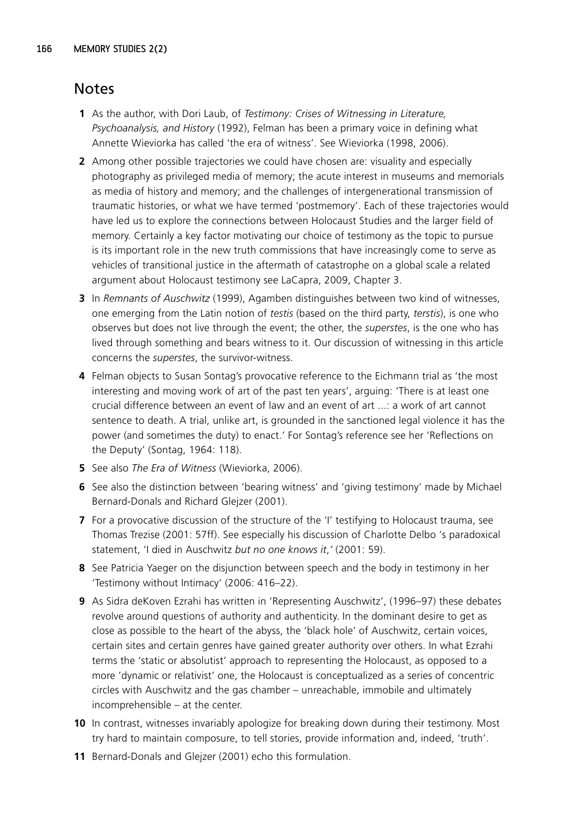### **Notes**

- **1** As the author, with Dori Laub, of *Testimony: Crises of Witnessing in Literature, Psychoanalysis, and History* (1992), Felman has been a primary voice in defining what Annette Wieviorka has called 'the era of witness'. See Wieviorka (1998, 2006).
- **2** Among other possible trajectories we could have chosen are: visuality and especially photography as privileged media of memory; the acute interest in museums and memorials as media of history and memory; and the challenges of intergenerational transmission of traumatic histories, or what we have termed 'postmemory'. Each of these trajectories would have led us to explore the connections between Holocaust Studies and the larger field of memory. Certainly a key factor motivating our choice of testimony as the topic to pursue is its important role in the new truth commissions that have increasingly come to serve as vehicles of transitional justice in the aftermath of catastrophe on a global scale a related argument about Holocaust testimony see LaCapra, 2009, Chapter 3.
- **3** In *Remnants of Auschwitz* (1999), Agamben distinguishes between two kind of witnesses, one emerging from the Latin notion of *testis* (based on the third party, *terstis*), is one who observes but does not live through the event; the other, the *superstes*, is the one who has lived through something and bears witness to it. Our discussion of witnessing in this article concerns the *superstes*, the survivor-witness.
- **4** Felman objects to Susan Sontag's provocative reference to the Eichmann trial as 'the most interesting and moving work of art of the past ten years', arguing: 'There is at least one crucial difference between an event of law and an event of art ...: a work of art cannot sentence to death. A trial, unlike art, is grounded in the sanctioned legal violence it has the power (and sometimes the duty) to enact.' For Sontag's reference see her 'Reflections on the Deputy' (Sontag, 1964: 118).
- **5** See also *The Era of Witness* (Wieviorka, 2006).
- **6** See also the distinction between 'bearing witness' and 'giving testimony' made by Michael Bernard-Donals and Richard Glejzer (2001).
- **7** For a provocative discussion of the structure of the 'I' testifying to Holocaust trauma, see Thomas Trezise (2001: 57ff). See especially his discussion of Charlotte Delbo 's paradoxical statement, 'I died in Auschwitz *but no one knows it*,*'* (2001: 59).
- **8** See Patricia Yaeger on the disjunction between speech and the body in testimony in her 'Testimony without Intimacy' (2006: 416–22).
- **9** As Sidra deKoven Ezrahi has written in 'Representing Auschwitz', (1996–97) these debates revolve around questions of authority and authenticity. In the dominant desire to get as close as possible to the heart of the abyss, the 'black hole' of Auschwitz, certain voices, certain sites and certain genres have gained greater authority over others. In what Ezrahi terms the 'static or absolutist' approach to representing the Holocaust, as opposed to a more 'dynamic or relativist' one, the Holocaust is conceptualized as a series of concentric circles with Auschwitz and the gas chamber – unreachable, immobile and ultimately incomprehensible – at the center.
- **10** In contrast, witnesses invariably apologize for breaking down during their testimony. Most try hard to maintain composure, to tell stories, provide information and, indeed, 'truth'.
- **11** Bernard-Donals and Glejzer (2001) echo this formulation.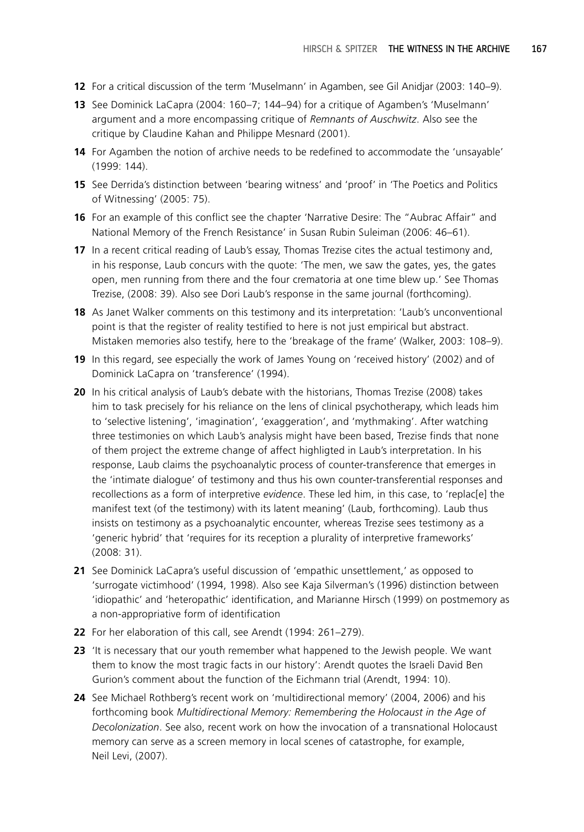- **12** For a critical discussion of the term 'Muselmann' in Agamben, see Gil Anidjar (2003: 140–9).
- **13** See Dominick LaCapra (2004: 160–7; 144–94) for a critique of Agamben's 'Muselmann' argument and a more encompassing critique of *Remnants of Auschwitz*. Also see the critique by Claudine Kahan and Philippe Mesnard (2001).
- **14** For Agamben the notion of archive needs to be redefined to accommodate the 'unsayable' (1999: 144).
- **15** See Derrida's distinction between 'bearing witness' and 'proof' in 'The Poetics and Politics of Witnessing' (2005: 75).
- **16** For an example of this conflict see the chapter 'Narrative Desire: The "Aubrac Affair" and National Memory of the French Resistance' in Susan Rubin Suleiman (2006: 46–61).
- **17** In a recent critical reading of Laub's essay, Thomas Trezise cites the actual testimony and, in his response, Laub concurs with the quote: 'The men, we saw the gates, yes, the gates open, men running from there and the four crematoria at one time blew up.' See Thomas Trezise, (2008: 39). Also see Dori Laub's response in the same journal (forthcoming).
- **18** As Janet Walker comments on this testimony and its interpretation: 'Laub's unconventional point is that the register of reality testified to here is not just empirical but abstract. Mistaken memories also testify, here to the 'breakage of the frame' (Walker, 2003: 108–9).
- **19** In this regard, see especially the work of James Young on 'received history' (2002) and of Dominick LaCapra on 'transference' (1994).
- **20** In his critical analysis of Laub's debate with the historians, Thomas Trezise (2008) takes him to task precisely for his reliance on the lens of clinical psychotherapy, which leads him to 'selective listening', 'imagination', 'exaggeration', and 'mythmaking'. After watching three testimonies on which Laub's analysis might have been based, Trezise finds that none of them project the extreme change of affect highligted in Laub's interpretation. In his response, Laub claims the psychoanalytic process of counter-transference that emerges in the 'intimate dialogue' of testimony and thus his own counter-transferential responses and recollections as a form of interpretive *evidence*. These led him, in this case, to 'replac[e] the manifest text (of the testimony) with its latent meaning' (Laub, forthcoming). Laub thus insists on testimony as a psychoanalytic encounter, whereas Trezise sees testimony as a 'generic hybrid' that 'requires for its reception a plurality of interpretive frameworks' (2008: 31).
- **21** See Dominick LaCapra's useful discussion of 'empathic unsettlement,' as opposed to 'surrogate victimhood' (1994, 1998). Also see Kaja Silverman's (1996) distinction between 'idiopathic' and 'heteropathic' identification, and Marianne Hirsch (1999) on postmemory as a non-appropriative form of identification
- **22** For her elaboration of this call, see Arendt (1994: 261–279).
- **23** 'It is necessary that our youth remember what happened to the Jewish people. We want them to know the most tragic facts in our history': Arendt quotes the Israeli David Ben Gurion's comment about the function of the Eichmann trial (Arendt, 1994: 10).
- **24** See Michael Rothberg's recent work on 'multidirectional memory' (2004, 2006) and his forthcoming book *Multidirectional Memory: Remembering the Holocaust in the Age of Decolonization*. See also, recent work on how the invocation of a transnational Holocaust memory can serve as a screen memory in local scenes of catastrophe, for example, Neil Levi, (2007).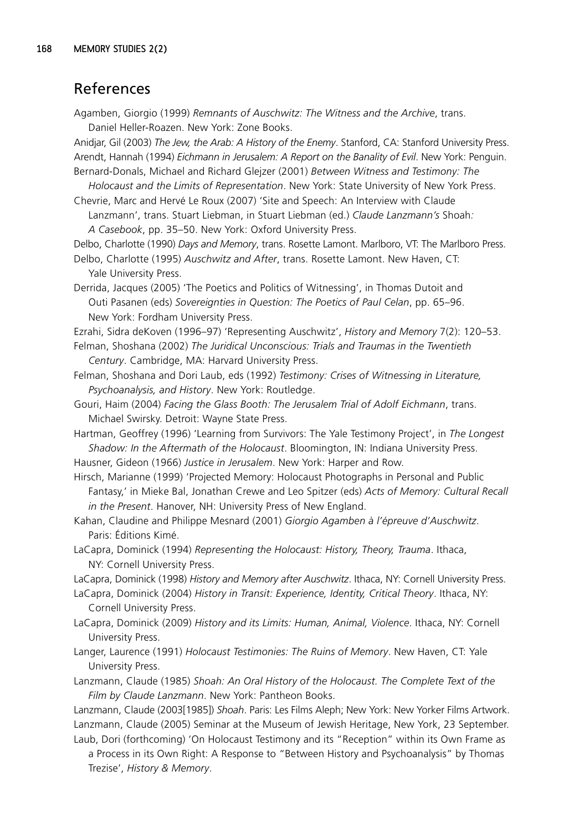## References

Agamben, Giorgio (1999) *Remnants of Auschwitz: The Witness and the Archive*, trans. Daniel Heller-Roazen. New York: Zone Books.

Anidjar, Gil (2003) *The Jew, the Arab: A History of the Enemy*. Stanford, CA: Stanford University Press. Arendt, Hannah (1994) *Eichmann in Jerusalem: A Report on the Banality of Evil*. New York: Penguin.

- Bernard-Donals, Michael and Richard Glejzer (2001) *Between Witness and Testimony: The Holocaust and the Limits of Representation*. New York: State University of New York Press.
- Chevrie, Marc and Hervé Le Roux (2007) 'Site and Speech: An Interview with Claude Lanzmann', trans. Stuart Liebman, in Stuart Liebman (ed.) *Claude Lanzmann's* Shoah*: A Casebook*, pp. 35–50. New York: Oxford University Press.

Delbo, Charlotte (1990) *Days and Memory*, trans. Rosette Lamont. Marlboro, VT: The Marlboro Press.

- Delbo, Charlotte (1995) *Auschwitz and After*, trans. Rosette Lamont. New Haven, CT: Yale University Press.
- Derrida, Jacques (2005) 'The Poetics and Politics of Witnessing', in Thomas Dutoit and Outi Pasanen (eds) *Sovereignties in Question: The Poetics of Paul Celan*, pp. 65–96. New York: Fordham University Press.
- Ezrahi, Sidra deKoven (1996–97) 'Representing Auschwitz', *History and Memory* 7(2): 120–53.
- Felman, Shoshana (2002) *The Juridical Unconscious: Trials and Traumas in the Twentieth Century*. Cambridge, MA: Harvard University Press.
- Felman, Shoshana and Dori Laub, eds (1992) *Testimony: Crises of Witnessing in Literature, Psychoanalysis, and History*. New York: Routledge.
- Gouri, Haim (2004) *Facing the Glass Booth: The Jerusalem Trial of Adolf Eichmann*, trans. Michael Swirsky. Detroit: Wayne State Press.

Hartman, Geoffrey (1996) 'Learning from Survivors: The Yale Testimony Project', in *The Longest Shadow: In the Aftermath of the Holocaust*. Bloomington, IN: Indiana University Press. Hausner, Gideon (1966) *Justice in Jerusalem*. New York: Harper and Row.

Hirsch, Marianne (1999) 'Projected Memory: Holocaust Photographs in Personal and Public Fantasy,' in Mieke Bal, Jonathan Crewe and Leo Spitzer (eds) *Acts of Memory: Cultural Recall in the Present*. Hanover, NH: University Press of New England.

Kahan, Claudine and Philippe Mesnard (2001) *Giorgio Agamben à l'épreuve d'Auschwitz*. Paris: Éditions Kimé.

- LaCapra, Dominick (1994) *Representing the Holocaust: History, Theory, Trauma*. Ithaca, NY: Cornell University Press.
- LaCapra, Dominick (1998) *History and Memory after Auschwitz*. Ithaca, NY: Cornell University Press.
- LaCapra, Dominick (2004) *History in Transit: Experience, Identity, Critical Theory*. Ithaca, NY: Cornell University Press.
- LaCapra, Dominick (2009) *History and its Limits: Human, Animal, Violence*. Ithaca, NY: Cornell University Press.
- Langer, Laurence (1991) *Holocaust Testimonies: The Ruins of Memory*. New Haven, CT: Yale University Press.
- Lanzmann, Claude (1985) *Shoah: An Oral History of the Holocaust. The Complete Text of the Film by Claude Lanzmann*. New York: Pantheon Books.

Lanzmann, Claude (2003[1985]) *Shoah*. Paris: Les Films Aleph; New York: New Yorker Films Artwork. Lanzmann, Claude (2005) Seminar at the Museum of Jewish Heritage, New York, 23 September. Laub, Dori (forthcoming) 'On Holocaust Testimony and its "Reception" within its Own Frame as

a Process in its Own Right: A Response to "Between History and Psychoanalysis" by Thomas Trezise', *History & Memory*.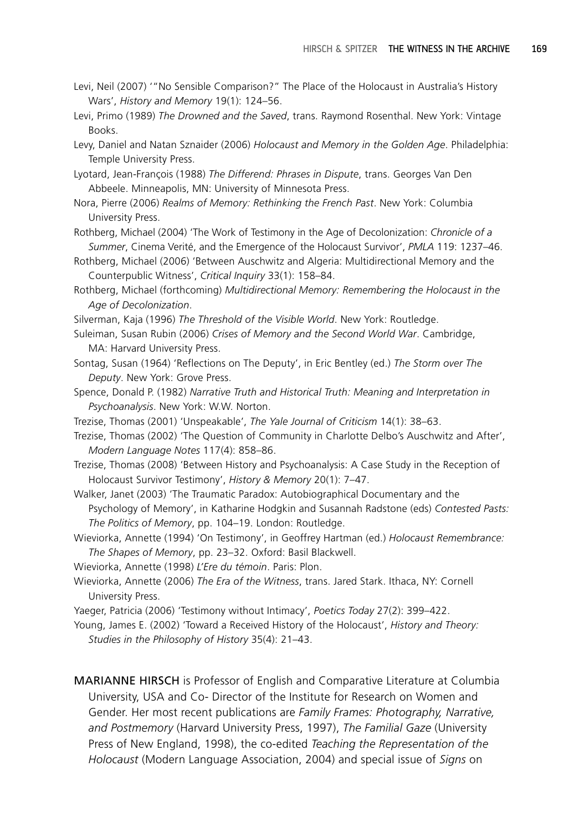- Levi, Neil (2007) '"No Sensible Comparison?" The Place of the Holocaust in Australia's History Wars', *History and Memory* 19(1): 124–56.
- Levi, Primo (1989) *The Drowned and the Saved*, trans. Raymond Rosenthal. New York: Vintage Books.
- Levy, Daniel and Natan Sznaider (2006) *Holocaust and Memory in the Golden Age*. Philadelphia: Temple University Press.
- Lyotard, Jean-François (1988) *The Differend: Phrases in Dispute*, trans. Georges Van Den Abbeele. Minneapolis, MN: University of Minnesota Press.
- Nora, Pierre (2006) *Realms of Memory: Rethinking the French Past*. New York: Columbia University Press.
- Rothberg, Michael (2004) 'The Work of Testimony in the Age of Decolonization: *Chronicle of a Summer*, Cinema Verité, and the Emergence of the Holocaust Survivor', *PMLA* 119: 1237–46.
- Rothberg, Michael (2006) 'Between Auschwitz and Algeria: Multidirectional Memory and the Counterpublic Witness', *Critical Inquiry* 33(1): 158–84.
- Rothberg, Michael (forthcoming) *Multidirectional Memory: Remembering the Holocaust in the Age of Decolonization*.
- Silverman, Kaja (1996) *The Threshold of the Visible World*. New York: Routledge.
- Suleiman, Susan Rubin (2006) *Crises of Memory and the Second World War*. Cambridge, MA: Harvard University Press.
- Sontag, Susan (1964) 'Reflections on The Deputy', in Eric Bentley (ed.) *The Storm over The Deputy*. New York: Grove Press.
- Spence, Donald P. (1982) *Narrative Truth and Historical Truth: Meaning and Interpretation in Psychoanalysis*. New York: W.W. Norton.
- Trezise, Thomas (2001) 'Unspeakable', *The Yale Journal of Criticism* 14(1): 38–63.
- Trezise, Thomas (2002) 'The Question of Community in Charlotte Delbo's Auschwitz and After', *Modern Language Notes* 117(4): 858–86.
- Trezise, Thomas (2008) 'Between History and Psychoanalysis: A Case Study in the Reception of Holocaust Survivor Testimony', *History & Memory* 20(1): 7–47.
- Walker, Janet (2003) 'The Traumatic Paradox: Autobiographical Documentary and the Psychology of Memory', in Katharine Hodgkin and Susannah Radstone (eds) *Contested Pasts: The Politics of Memory*, pp. 104–19. London: Routledge.
- Wieviorka, Annette (1994) 'On Testimony', in Geoffrey Hartman (ed.) *Holocaust Remembrance: The Shapes of Memory*, pp. 23–32. Oxford: Basil Blackwell.
- Wieviorka, Annette (1998) *L'Ere du témoin*. Paris: Plon.
- Wieviorka, Annette (2006) *The Era of the Witness*, trans. Jared Stark. Ithaca, NY: Cornell University Press.
- Yaeger, Patricia (2006) 'Testimony without Intimacy', *Poetics Today* 27(2): 399–422.
- Young, James E. (2002) 'Toward a Received History of the Holocaust', *History and Theory: Studies in the Philosophy of History* 35(4): 21–43.

MARIANNE HIRSCH is Professor of English and Comparative Literature at Columbia University, USA and Co- Director of the Institute for Research on Women and Gender. Her most recent publications are *Family Frames: Photography, Narrative, and Postmemory* (Harvard University Press, 1997), *The Familial Gaze* (University Press of New England, 1998), the co-edited *Teaching the Representation of the Holocaust* (Modern Language Association, 2004) and special issue of *Signs* on